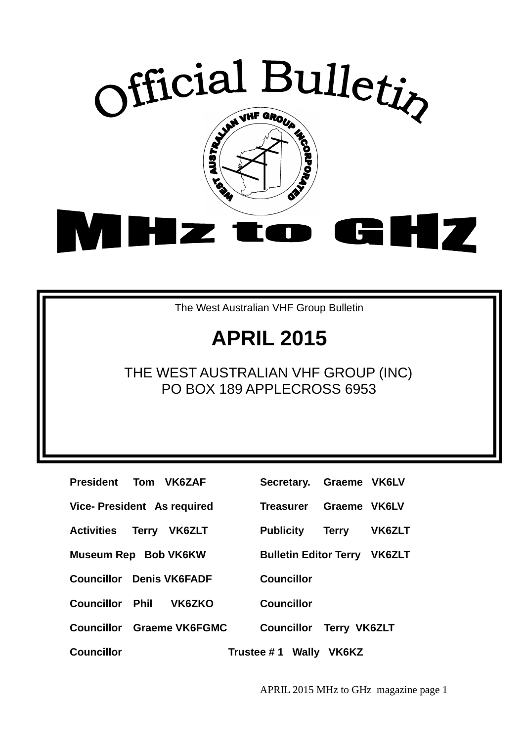

The West Australian VHF Group Bulletin

# **APRIL 2015**

## THE WEST AUSTRALIAN VHF GROUP (INC) PO BOX 189 APPLECROSS 6953

| President Tom VK6ZAF            |  |                                  | Secretary. Graeme VK6LV             |              |        |
|---------------------------------|--|----------------------------------|-------------------------------------|--------------|--------|
| Vice-President As required      |  |                                  | Treasurer                           | Graeme VK6LV |        |
| <b>Activities Terry VK6ZLT</b>  |  |                                  | <b>Publicity</b>                    | Terry        | VK6ZL1 |
| Museum Rep Bob VK6KW            |  |                                  | <b>Bulletin Editor Terry VK6ZL1</b> |              |        |
| <b>Councillor Denis VK6FADF</b> |  |                                  | <b>Councillor</b>                   |              |        |
| <b>Councillor Phil</b>          |  | VK6ZKO                           | <b>Councillor</b>                   |              |        |
|                                 |  | <b>Councillor Graeme VK6FGMC</b> | <b>Councillor Terry VK6ZLT</b>      |              |        |
| <b>Councillor</b>               |  |                                  | Trustee #1 Wally VK6KZ              |              |        |

| President Tom VK6ZAF            |  |                                  | Secretary. Graeme VK6LV             |              |        |
|---------------------------------|--|----------------------------------|-------------------------------------|--------------|--------|
| Vice- President As required     |  |                                  | Treasurer Graeme VK6LV              |              |        |
| <b>Activities Terry VK6ZLT</b>  |  |                                  | <b>Publicity</b>                    | <b>Terry</b> | VK6ZLT |
| Museum Rep Bob VK6KW            |  |                                  | <b>Bulletin Editor Terry VK6ZLT</b> |              |        |
| <b>Councillor Denis VK6FADF</b> |  |                                  | <b>Councillor</b>                   |              |        |
| <b>Councillor Phil VK6ZKO</b>   |  |                                  | <b>Councillor</b>                   |              |        |
|                                 |  | <b>Councillor</b> Graeme VK6FGMC | <b>Councillor Terry VK6ZLT</b>      |              |        |
| <b>Councillor</b>               |  |                                  | Trustee $# 1$ Wally VK6KZ           |              |        |

APRIL 2015 MHz to GHz magazine page 1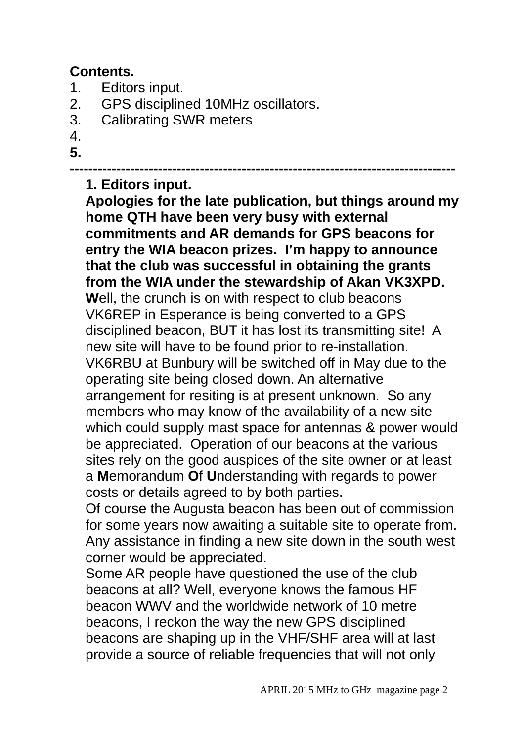## **Contents.**

- 1. Editors input.
- 2. GPS disciplined 10MHz oscillators.
- 3. Calibrating SWR meters
- 4.
- **5.**

#### **-----------------------------------------------------------------------------------**

### **1. Editors input.**

**Apologies for the late publication, but things around my home QTH have been very busy with external commitments and AR demands for GPS beacons for entry the WIA beacon prizes. I'm happy to announce that the club was successful in obtaining the grants from the WIA under the stewardship of Akan VK3XPD. W**ell, the crunch is on with respect to club beacons VK6REP in Esperance is being converted to a GPS disciplined beacon, BUT it has lost its transmitting site! A new site will have to be found prior to re-installation. VK6RBU at Bunbury will be switched off in May due to the operating site being closed down. An alternative arrangement for resiting is at present unknown. So any members who may know of the availability of a new site which could supply mast space for antennas & power would be appreciated. Operation of our beacons at the various sites rely on the good auspices of the site owner or at least a **M**emorandum **O**f **U**nderstanding with regards to power costs or details agreed to by both parties.

Of course the Augusta beacon has been out of commission for some years now awaiting a suitable site to operate from. Any assistance in finding a new site down in the south west corner would be appreciated.

Some AR people have questioned the use of the club beacons at all? Well, everyone knows the famous HF beacon WWV and the worldwide network of 10 metre beacons, I reckon the way the new GPS disciplined beacons are shaping up in the VHF/SHF area will at last provide a source of reliable frequencies that will not only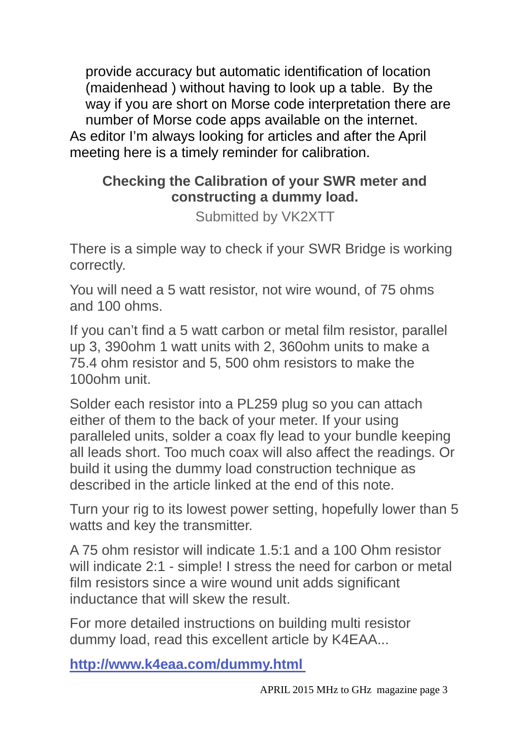provide accuracy but automatic identification of location (maidenhead ) without having to look up a table. By the way if you are short on Morse code interpretation there are number of Morse code apps available on the internet. As editor I'm always looking for articles and after the April meeting here is a timely reminder for calibration.

## **Checking the Calibration of your SWR meter and constructing a dummy load.**

Submitted by VK2XTT

There is a simple way to check if your SWR Bridge is working correctly.

You will need a 5 watt resistor, not wire wound, of 75 ohms and 100 ohms.

If you can't find a 5 watt carbon or metal film resistor, parallel up 3, 390ohm 1 watt units with 2, 360ohm units to make a 75.4 ohm resistor and 5, 500 ohm resistors to make the 100ohm unit.

Solder each resistor into a PL259 plug so you can attach either of them to the back of your meter. If your using paralleled units, solder a coax fly lead to your bundle keeping all leads short. Too much coax will also affect the readings. Or build it using the dummy load construction technique as described in the article linked at the end of this note.

Turn your rig to its lowest power setting, hopefully lower than 5 watts and key the transmitter.

A 75 ohm resistor will indicate 1.5:1 and a 100 Ohm resistor will indicate 2:1 - simple! I stress the need for carbon or metal film resistors since a wire wound unit adds significant inductance that will skew the result.

For more detailed instructions on building multi resistor dummy load, read this excellent article by K4EAA...

**http://www.k4eaa.com/dummy.html**